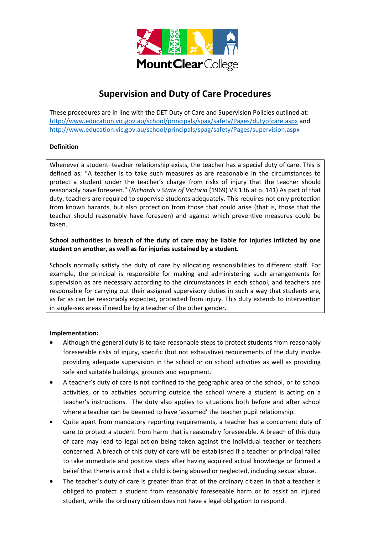

# **Supervision and Duty of Care Procedures**

These procedures are in line with the DET Duty of Care and Supervision Policies outlined at: <http://www.education.vic.gov.au/school/principals/spag/safety/Pages/dutyofcare.aspx> and <http://www.education.vic.gov.au/school/principals/spag/safety/Pages/supervision.aspx>

# **Definition**

Whenever a student–teacher relationship exists, the teacher has a special duty of care. This is defined as: "A teacher is to take such measures as are reasonable in the circumstances to protect a student under the teacher's charge from risks of injury that the teacher should reasonably have foreseen." (*Richards v State of Victoria* (1969) VR 136 at p. 141) As part of that duty, teachers are required to supervise students adequately. This requires not only protection from known hazards, but also protection from those that could arise (that is, those that the teacher should reasonably have foreseen) and against which preventive measures could be taken.

# **School authorities in breach of the duty of care may be liable for injuries inflicted by one student on another, as well as for injuries sustained by a student.**

Schools normally satisfy the duty of care by allocating responsibilities to different staff. For example, the principal is responsible for making and administering such arrangements for supervision as are necessary according to the circumstances in each school, and teachers are responsible for carrying out their assigned supervisory duties in such a way that students are, as far as can be reasonably expected, protected from injury. This duty extends to intervention in single-sex areas if need be by a teacher of the other gender.

## **Implementation:**

- Although the general duty is to take reasonable steps to protect students from reasonably foreseeable risks of injury, specific (but not exhaustive) requirements of the duty involve providing adequate supervision in the school or on school activities as well as providing safe and suitable buildings, grounds and equipment.
- A teacher's duty of care is not confined to the geographic area of the school, or to school activities, or to activities occurring outside the school where a student is acting on a teacher's instructions. The duty also applies to situations both before and after school where a teacher can be deemed to have 'assumed' the teacher pupil relationship.
- Quite apart from mandatory reporting requirements, a teacher has a concurrent duty of care to protect a student from harm that is reasonably foreseeable. A breach of this duty of care may lead to legal action being taken against the individual teacher or teachers concerned. A breach of this duty of care will be established if a teacher or principal failed to take immediate and positive steps after having acquired actual knowledge or formed a belief that there is a risk that a child is being abused or neglected, including sexual abuse.
- The teacher's duty of care is greater than that of the ordinary citizen in that a teacher is obliged to protect a student from reasonably foreseeable harm or to assist an injured student, while the ordinary citizen does not have a legal obligation to respond.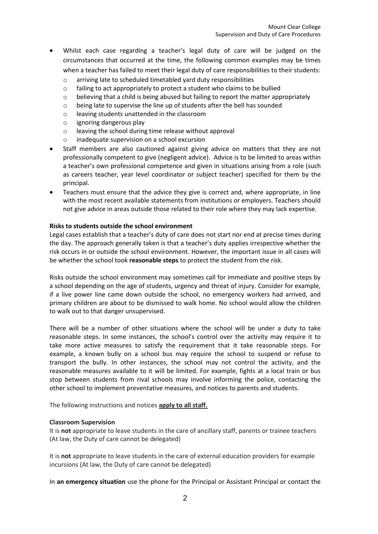- Whilst each case regarding a teacher's legal duty of care will be judged on the circumstances that occurred at the time, the following common examples may be times when a teacher has failed to meet their legal duty of care responsibilities to their students:
	- o arriving late to scheduled timetabled yard duty responsibilities
	- $\circ$  failing to act appropriately to protect a student who claims to be bullied
	- $\circ$  believing that a child is being abused but failing to report the matter appropriately
	- o being late to supervise the line up of students after the bell has sounded
	- o leaving students unattended in the classroom
	- o ignoring dangerous play
	- o leaving the school during time release without approval
	- o inadequate supervision on a school excursion
- Staff members are also cautioned against giving advice on matters that they are not professionally competent to give (negligent advice). Advice is to be limited to areas within a teacher's own professional competence and given in situations arising from a role (such as careers teacher, year level coordinator or subject teacher) specified for them by the principal.
- Teachers must ensure that the advice they give is correct and, where appropriate, in line with the most recent available statements from institutions or employers. Teachers should not give advice in areas outside those related to their role where they may lack expertise.

## **Risks to students outside the school environment**

Legal cases establish that a teacher's duty of care does not start nor end at precise times during the day. The approach generally taken is that a teacher's duty applies irrespective whether the risk occurs in or outside the school environment. However, the important issue in all cases will be whether the school took **reasonable steps** to protect the student from the risk.

Risks outside the school environment may sometimes call for immediate and positive steps by a school depending on the age of students, urgency and threat of injury. Consider for example, if a live power line came down outside the school, no emergency workers had arrived, and primary children are about to be dismissed to walk home. No school would allow the children to walk out to that danger unsupervised.

There will be a number of other situations where the school will be under a duty to take reasonable steps. In some instances, the school's control over the activity may require it to take more active measures to satisfy the requirement that it take reasonable steps. For example, a known bully on a school bus may require the school to suspend or refuse to transport the bully. In other instances, the school may not control the activity, and the reasonable measures available to it will be limited. For example, fights at a local train or bus stop between students from rival schools may involve informing the police, contacting the other school to implement preventative measures, and notices to parents and students.

The following instructions and notices **apply to all staff.** 

## **Classroom Supervision**

It is **not** appropriate to leave students in the care of ancillary staff, parents or trainee teachers (At law, the Duty of care cannot be delegated)

It is **not** appropriate to leave students in the care of external education providers for example incursions (At law, the Duty of care cannot be delegated)

In **an emergency situation** use the phone for the Principal or Assistant Principal or contact the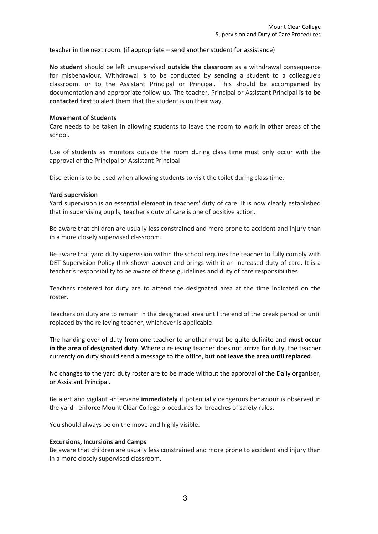teacher in the next room. (if appropriate – send another student for assistance)

**No student** should be left unsupervised **outside the classroom** as a withdrawal consequence for misbehaviour. Withdrawal is to be conducted by sending a student to a colleague's classroom, or to the Assistant Principal or Principal. This should be accompanied by documentation and appropriate follow up. The teacher, Principal or Assistant Principal **is to be contacted first** to alert them that the student is on their way.

#### **Movement of Students**

Care needs to be taken in allowing students to leave the room to work in other areas of the school.

Use of students as monitors outside the room during class time must only occur with the approval of the Principal or Assistant Principal

Discretion is to be used when allowing students to visit the toilet during class time.

#### **Yard supervision**

Yard supervision is an essential element in teachers' duty of care. It is now clearly established that in supervising pupils, teacher's duty of care is one of positive action.

Be aware that children are usually less constrained and more prone to accident and injury than in a more closely supervised classroom.

Be aware that yard duty supervision within the school requires the teacher to fully comply with DET Supervision Policy (link shown above) and brings with it an increased duty of care. It is a teacher's responsibility to be aware of these guidelines and duty of care responsibilities.

Teachers rostered for duty are to attend the designated area at the time indicated on the roster.

Teachers on duty are to remain in the designated area until the end of the break period or until replaced by the relieving teacher, whichever is applicable.

The handing over of duty from one teacher to another must be quite definite and **must occur in the area of designated duty**. Where a relieving teacher does not arrive for duty, the teacher currently on duty should send a message to the office, **but not leave the area until replaced**.

No changes to the yard duty roster are to be made without the approval of the Daily organiser, or Assistant Principal.

Be alert and vigilant -intervene **immediately** if potentially dangerous behaviour is observed in the yard - enforce Mount Clear College procedures for breaches of safety rules.

You should always be on the move and highly visible.

#### **Excursions, Incursions and Camps**

Be aware that children are usually less constrained and more prone to accident and injury than in a more closely supervised classroom.